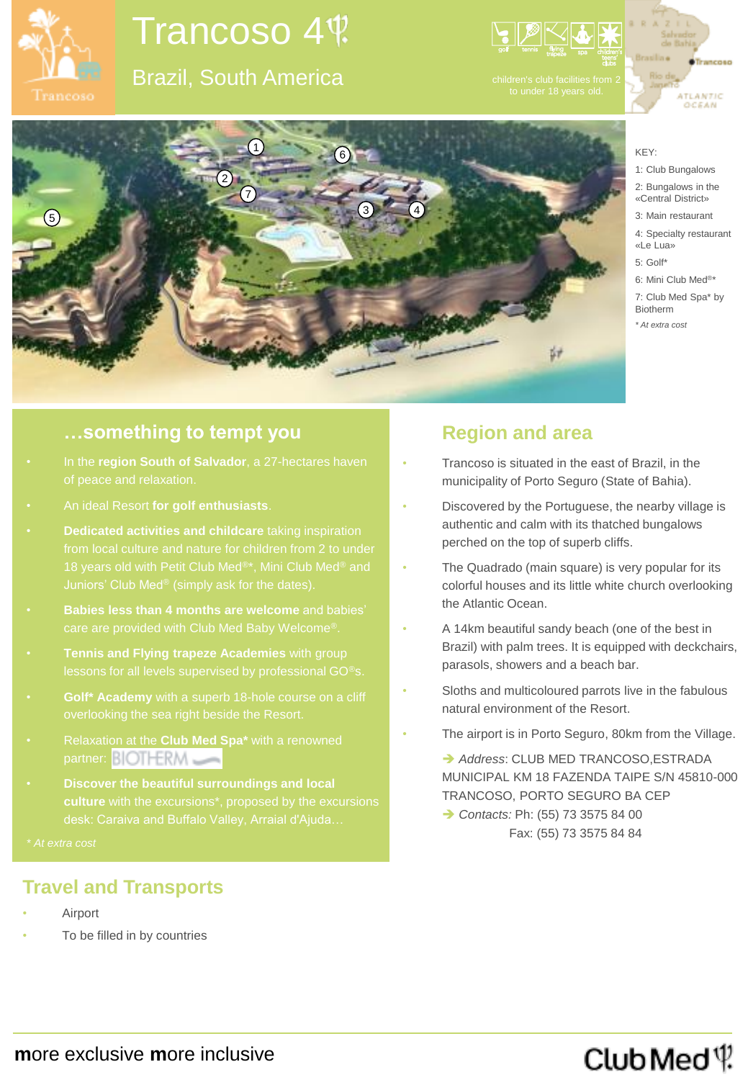

# Trancoso 4

## Brazil, South America







**…something to tempt you**

- In the **region South of Salvador**, a 27-hectares haven
- An ideal Resort **for golf enthusiasts**.
- 
- **Babies less than 4 months are welcome** and babies'
- **Tennis and Flying trapeze Academies** with group
- **Golf\* Academy** with a superb 18-hole course on a cliff
- Relaxation at the **Club Med Spa\*** with a renowned partner: BIOTHERM
- **Discover the beautiful surroundings and local**

### **Travel and Transports**

- **Airport**
- To be filled in by countries

**m**ore exclusive **m**ore inclusive

### **Region and area**

- Trancoso is situated in the east of Brazil, in the municipality of Porto Seguro (State of Bahia).
- Discovered by the Portuguese, the nearby village is authentic and calm with its thatched bungalows perched on the top of superb cliffs.
- The Quadrado (main square) is very popular for its colorful houses and its little white church overlooking the Atlantic Ocean.
- A 14km beautiful sandy beach (one of the best in Brazil) with palm trees. It is equipped with deckchairs, parasols, showers and a beach bar.
- Sloths and multicoloured parrots live in the fabulous natural environment of the Resort.
- The airport is in Porto Seguro, 80km from the Village.

→ Address: CLUB MED TRANCOSO, ESTRADA MUNICIPAL KM 18 FAZENDA TAIPE S/N 45810-000 TRANCOSO, PORTO SEGURO BA CEP

→ Contacts: Ph: (55) 73 3575 84 00 Fax: (55) 73 3575 84 84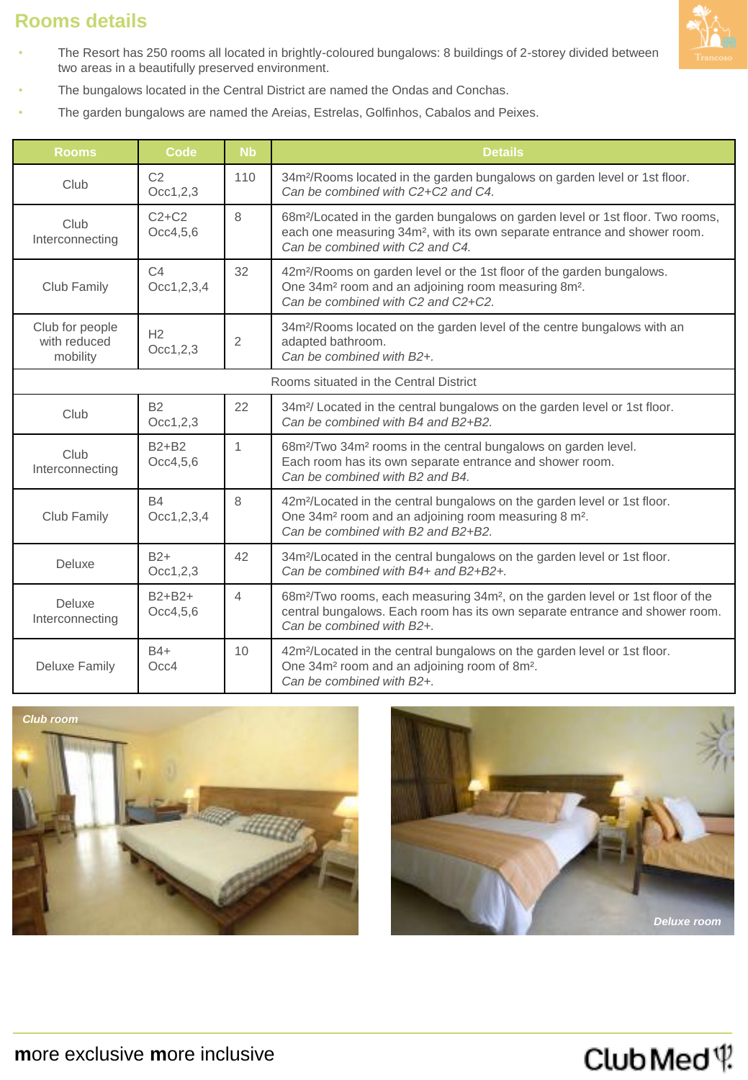### **Rooms details**



- The Resort has 250 rooms all located in brightly-coloured bungalows: 8 buildings of 2-storey divided between two areas in a beautifully preserved environment.
- The bungalows located in the Central District are named the Ondas and Conchas.
- The garden bungalows are named the Areias, Estrelas, Golfinhos, Cabalos and Peixes.

| <b>Rooms</b>                                | Code                       | <b>N<sub>b</sub></b> | <b>Details</b>                                                                                                                                                                                                         |
|---------------------------------------------|----------------------------|----------------------|------------------------------------------------------------------------------------------------------------------------------------------------------------------------------------------------------------------------|
| Club                                        | C <sub>2</sub><br>Occ1,2,3 | 110                  | 34m <sup>2</sup> /Rooms located in the garden bungalows on garden level or 1st floor.<br>Can be combined with C2+C2 and C4.                                                                                            |
| Club<br>Interconnecting                     | $C2+C2$<br>Occ4, 5, 6      | 8                    | 68m <sup>2</sup> /Located in the garden bungalows on garden level or 1st floor. Two rooms,<br>each one measuring 34m <sup>2</sup> , with its own separate entrance and shower room.<br>Can be combined with C2 and C4. |
| Club Family                                 | C4<br>Occ1,2,3,4           | 32                   | 42m <sup>2</sup> /Rooms on garden level or the 1st floor of the garden bungalows.<br>One 34m <sup>2</sup> room and an adjoining room measuring 8m <sup>2</sup> .<br>Can be combined with C2 and C2+C2.                 |
| Club for people<br>with reduced<br>mobility | H <sub>2</sub><br>Occ1,2,3 | 2                    | 34m <sup>2</sup> /Rooms located on the garden level of the centre bungalows with an<br>adapted bathroom.<br>Can be combined with B2+.                                                                                  |
| Rooms situated in the Central District      |                            |                      |                                                                                                                                                                                                                        |
| Club                                        | <b>B2</b><br>Occ1, 2, 3    | 22                   | 34m <sup>2</sup> / Located in the central bungalows on the garden level or 1st floor.<br>Can be combined with B4 and B2+B2.                                                                                            |
| Club<br>Interconnecting                     | $B2 + B2$<br>Occ4, 5, 6    | $\mathbf{1}$         | 68m <sup>2</sup> /Two 34m <sup>2</sup> rooms in the central bungalows on garden level.<br>Each room has its own separate entrance and shower room.<br>Can be combined with B2 and B4.                                  |
| Club Family                                 | <b>B4</b><br>Occ1,2,3,4    | 8                    | 42m <sup>2</sup> /Located in the central bungalows on the garden level or 1st floor.<br>One 34m <sup>2</sup> room and an adjoining room measuring 8 m <sup>2</sup> .<br>Can be combined with B2 and B2+B2.             |
| Deluxe                                      | $B2+$<br>Occ1, 2, 3        | 42                   | 34m <sup>2</sup> /Located in the central bungalows on the garden level or 1st floor.<br>Can be combined with B4+ and B2+B2+.                                                                                           |
| Deluxe<br>Interconnecting                   | $B2+B2+$<br>Occ4, 5, 6     | 4                    | 68m <sup>2</sup> /Two rooms, each measuring 34m <sup>2</sup> , on the garden level or 1st floor of the<br>central bungalows. Each room has its own separate entrance and shower room.<br>Can be combined with B2+.     |
| <b>Deluxe Family</b>                        | $B4+$<br>Occ4              | 10                   | 42m <sup>2</sup> /Located in the central bungalows on the garden level or 1st floor.<br>One 34m <sup>2</sup> room and an adjoining room of 8m <sup>2</sup> .<br>Can be combined with B2+.                              |





## ClubMed<sup>(1</sup>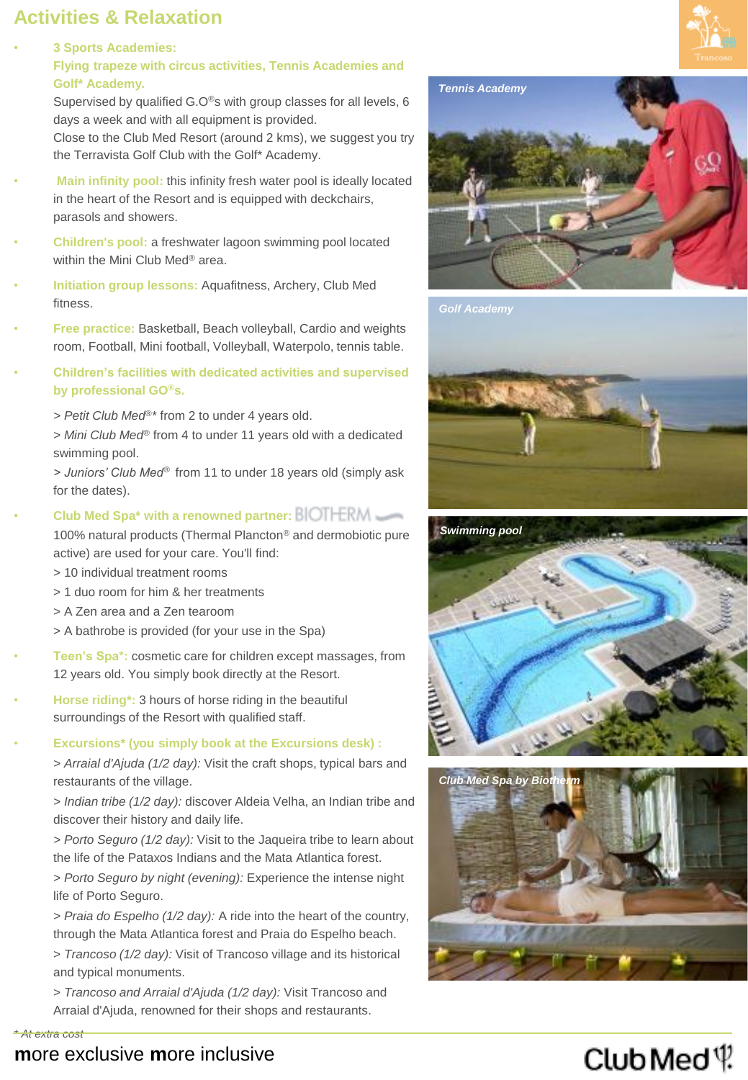### **Activities & Relaxation**

• **3 Sports Academies: Flying trapeze with circus activities, Tennis Academies and Golf\* Academy.**

> Supervised by qualified G.O®s with group classes for all levels, 6 days a week and with all equipment is provided.

Close to the Club Med Resort (around 2 kms), we suggest you try the Terravista Golf Club with the Golf\* Academy.

- **Main infinity pool:** this infinity fresh water pool is ideally located in the heart of the Resort and is equipped with deckchairs, parasols and showers.
- **Children's pool:** a freshwater lagoon swimming pool located within the Mini Club Med® area.
- **Initiation group lessons:** Aquafitness, Archery, Club Med fitness.
- **Free practice:** Basketball, Beach volleyball, Cardio and weights room, Football, Mini football, Volleyball, Waterpolo, tennis table.
- **Children's facilities with dedicated activities and supervised by professional GO®s.**

*> Petit Club Med®\** from 2 to under 4 years old.

*> Mini Club Med®* from 4 to under 11 years old with a dedicated swimming pool.

*> Juniors' Club Med®* from 11 to under 18 years old (simply ask for the dates).

- **Club Med Spa\* with a renowned partner:** 100% natural products (Thermal Plancton® and dermobiotic pure active) are used for your care. You'll find:
	- > 10 individual treatment rooms
	- > 1 duo room for him & her treatments
	- > A Zen area and a Zen tearoom
	- > A bathrobe is provided (for your use in the Spa)
- **Teen's Spa\*:** cosmetic care for children except massages, from 12 years old. You simply book directly at the Resort.
- **Horse riding\*:** 3 hours of horse riding in the beautiful surroundings of the Resort with qualified staff.
- **Excursions\* (you simply book at the Excursions desk) :**

*> Arraial d'Ajuda (1/2 day):* Visit the craft shops, typical bars and restaurants of the village.

*> Indian tribe (1/2 day):* discover Aldeia Velha, an Indian tribe and discover their history and daily life.

*> Porto Seguro (1/2 day):* Visit to the Jaqueira tribe to learn about the life of the Pataxos Indians and the Mata Atlantica forest.

*> Porto Seguro by night (evening):* Experience the intense night life of Porto Seguro.

*> Praia do Espelho (1/2 day):* A ride into the heart of the country, through the Mata Atlantica forest and Praia do Espelho beach.

> *Trancoso (1/2 day):* Visit of Trancoso village and its historical and typical monuments.

> *Trancoso and Arraial d'Ajuda (1/2 day):* Visit Trancoso and Arraial d'Ajuda, renowned for their shops and restaurants.



*Tennis Academy*









*\* At extra cost*

### **m**ore exclusive **m**ore inclusive